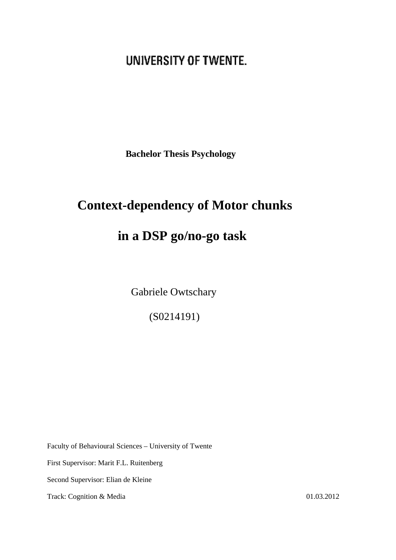# UNIVERSITY OF TWENTE.

**Bachelor Thesis Psychology** 

# **Context-dependency of Motor chunks**

# **in a DSP go/no-go task**

Gabriele Owtschary

(S0214191)

Faculty of Behavioural Sciences – University of Twente

First Supervisor: Marit F.L. Ruitenberg

Second Supervisor: Elian de Kleine

Track: Cognition & Media 01.03.2012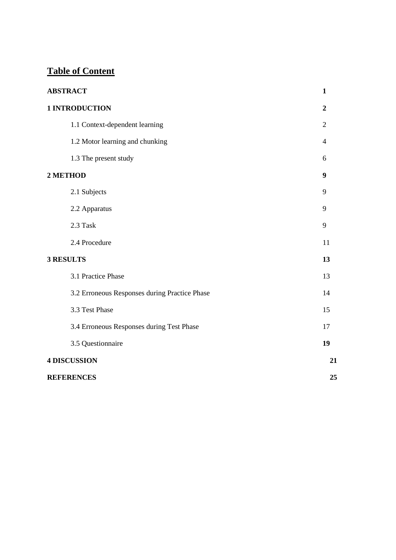# **Table of Content**

| <b>ABSTRACT</b>                               | $\mathbf{1}$   |
|-----------------------------------------------|----------------|
| 1 INTRODUCTION                                | $\overline{2}$ |
| 1.1 Context-dependent learning                | $\overline{2}$ |
| 1.2 Motor learning and chunking               | 4              |
| 1.3 The present study                         | 6              |
| 2 METHOD                                      | 9              |
| 2.1 Subjects                                  | 9              |
| 2.2 Apparatus                                 | 9              |
| 2.3 Task                                      | 9              |
| 2.4 Procedure                                 | 11             |
| <b>3 RESULTS</b>                              | 13             |
| 3.1 Practice Phase                            | 13             |
| 3.2 Erroneous Responses during Practice Phase | 14             |
| 3.3 Test Phase                                | 15             |
| 3.4 Erroneous Responses during Test Phase     | 17             |
| 3.5 Questionnaire                             | 19             |
| <b>4 DISCUSSION</b>                           | 21             |
| <b>REFERENCES</b>                             | 25             |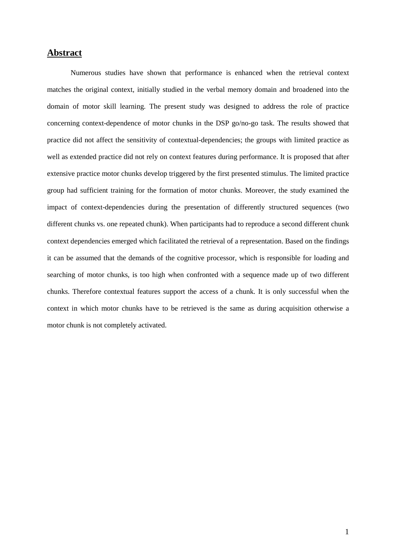# **Abstract**

 Numerous studies have shown that performance is enhanced when the retrieval context matches the original context, initially studied in the verbal memory domain and broadened into the domain of motor skill learning. The present study was designed to address the role of practice concerning context-dependence of motor chunks in the DSP go/no-go task. The results showed that practice did not affect the sensitivity of contextual-dependencies; the groups with limited practice as well as extended practice did not rely on context features during performance. It is proposed that after extensive practice motor chunks develop triggered by the first presented stimulus. The limited practice group had sufficient training for the formation of motor chunks. Moreover, the study examined the impact of context-dependencies during the presentation of differently structured sequences (two different chunks vs. one repeated chunk). When participants had to reproduce a second different chunk context dependencies emerged which facilitated the retrieval of a representation. Based on the findings it can be assumed that the demands of the cognitive processor, which is responsible for loading and searching of motor chunks, is too high when confronted with a sequence made up of two different chunks. Therefore contextual features support the access of a chunk. It is only successful when the context in which motor chunks have to be retrieved is the same as during acquisition otherwise a motor chunk is not completely activated.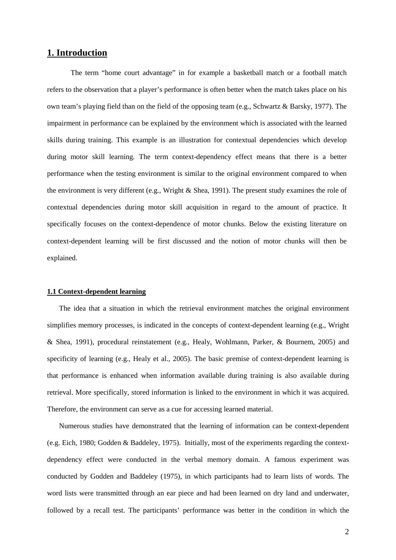## **1. Introduction**

The term "home court advantage" in for example a basketball match or a football match refers to the observation that a player's performance is often better when the match takes place on his own team's playing field than on the field of the opposing team (e.g., Schwartz & Barsky, 1977). The impairment in performance can be explained by the environment which is associated with the learned skills during training. This example is an illustration for contextual dependencies which develop during motor skill learning. The term context-dependency effect means that there is a better performance when the testing environment is similar to the original environment compared to when the environment is very different (e.g., Wright & Shea, 1991). The present study examines the role of contextual dependencies during motor skill acquisition in regard to the amount of practice. It specifically focuses on the context-dependence of motor chunks. Below the existing literature on context-dependent learning will be first discussed and the notion of motor chunks will then be explained.

#### **1.1 Context-dependent learning**

The idea that a situation in which the retrieval environment matches the original environment simplifies memory processes, is indicated in the concepts of context-dependent learning (e.g., Wright & Shea, 1991), procedural reinstatement (e.g., Healy, Wohlmann, Parker, & Bournem, 2005) and specificity of learning (e.g., Healy et al., 2005). The basic premise of context-dependent learning is that performance is enhanced when information available during training is also available during retrieval. More specifically, stored information is linked to the environment in which it was acquired. Therefore, the environment can serve as a cue for accessing learned material.

Numerous studies have demonstrated that the learning of information can be context-dependent (e.g. Eich, 1980; Godden & Baddeley, 1975). Initially, most of the experiments regarding the contextdependency effect were conducted in the verbal memory domain. A famous experiment was conducted by Godden and Baddeley (1975), in which participants had to learn lists of words. The word lists were transmitted through an ear piece and had been learned on dry land and underwater, followed by a recall test. The participants' performance was better in the condition in which the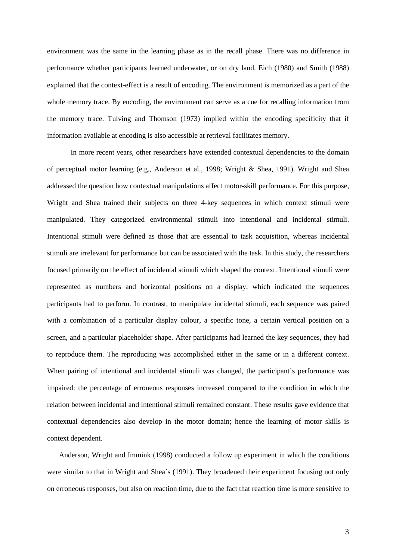environment was the same in the learning phase as in the recall phase. There was no difference in performance whether participants learned underwater, or on dry land. Eich (1980) and Smith (1988) explained that the context-effect is a result of encoding. The environment is memorized as a part of the whole memory trace. By encoding, the environment can serve as a cue for recalling information from the memory trace. Tulving and Thomson (1973) implied within the encoding specificity that if information available at encoding is also accessible at retrieval facilitates memory.

In more recent years, other researchers have extended contextual dependencies to the domain of perceptual motor learning (e.g., Anderson et al., 1998; Wright & Shea, 1991). Wright and Shea addressed the question how contextual manipulations affect motor-skill performance. For this purpose, Wright and Shea trained their subjects on three 4-key sequences in which context stimuli were manipulated. They categorized environmental stimuli into intentional and incidental stimuli. Intentional stimuli were defined as those that are essential to task acquisition, whereas incidental stimuli are irrelevant for performance but can be associated with the task. In this study, the researchers focused primarily on the effect of incidental stimuli which shaped the context. Intentional stimuli were represented as numbers and horizontal positions on a display, which indicated the sequences participants had to perform. In contrast, to manipulate incidental stimuli, each sequence was paired with a combination of a particular display colour, a specific tone, a certain vertical position on a screen, and a particular placeholder shape. After participants had learned the key sequences, they had to reproduce them. The reproducing was accomplished either in the same or in a different context. When pairing of intentional and incidental stimuli was changed, the participant's performance was impaired: the percentage of erroneous responses increased compared to the condition in which the relation between incidental and intentional stimuli remained constant. These results gave evidence that contextual dependencies also develop in the motor domain; hence the learning of motor skills is context dependent.

Anderson, Wright and Immink (1998) conducted a follow up experiment in which the conditions were similar to that in Wright and Shea`s (1991). They broadened their experiment focusing not only on erroneous responses, but also on reaction time, due to the fact that reaction time is more sensitive to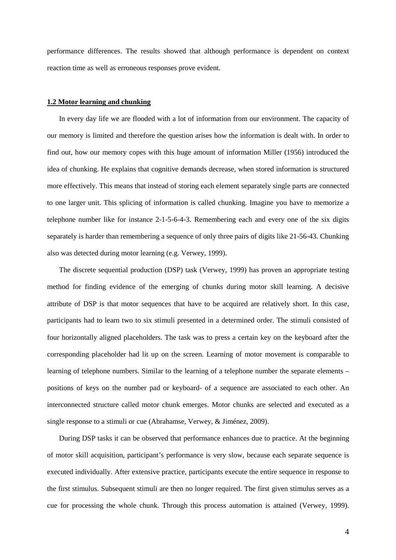performance differences. The results showed that although performance is dependent on context reaction time as well as erroneous responses prove evident.

#### **1.2 Motor learning and chunking**

In every day life we are flooded with a lot of information from our environment. The capacity of our memory is limited and therefore the question arises how the information is dealt with. In order to find out, how our memory copes with this huge amount of information Miller (1956) introduced the idea of chunking. He explains that cognitive demands decrease, when stored information is structured more effectively. This means that instead of storing each element separately single parts are connected to one larger unit. This splicing of information is called chunking. Imagine you have to memorize a telephone number like for instance 2-1-5-6-4-3. Remembering each and every one of the six digits separately is harder than remembering a sequence of only three pairs of digits like 21-56-43. Chunking also was detected during motor learning (e.g. Verwey, 1999).

The discrete sequential production (DSP) task (Verwey, 1999) has proven an appropriate testing method for finding evidence of the emerging of chunks during motor skill learning. A decisive attribute of DSP is that motor sequences that have to be acquired are relatively short. In this case, participants had to learn two to six stimuli presented in a determined order. The stimuli consisted of four horizontally aligned placeholders. The task was to press a certain key on the keyboard after the corresponding placeholder had lit up on the screen. Learning of motor movement is comparable to learning of telephone numbers. Similar to the learning of a telephone number the separate elements – positions of keys on the number pad or keyboard- of a sequence are associated to each other. An interconnected structure called motor chunk emerges. Motor chunks are selected and executed as a single response to a stimuli or cue (Abrahamse, Verwey, & Jiménez, 2009).

During DSP tasks it can be observed that performance enhances due to practice. At the beginning of motor skill acquisition, participant's performance is very slow, because each separate sequence is executed individually. After extensive practice, participants execute the entire sequence in response to the first stimulus. Subsequent stimuli are then no longer required. The first given stimulus serves as a cue for processing the whole chunk. Through this process automation is attained (Verwey, 1999).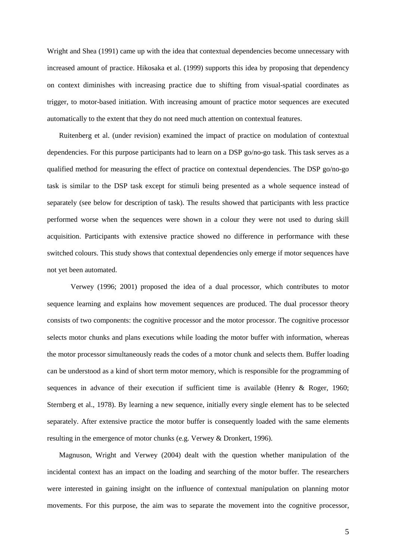Wright and Shea (1991) came up with the idea that contextual dependencies become unnecessary with increased amount of practice. Hikosaka et al. (1999) supports this idea by proposing that dependency on context diminishes with increasing practice due to shifting from visual-spatial coordinates as trigger, to motor-based initiation. With increasing amount of practice motor sequences are executed automatically to the extent that they do not need much attention on contextual features.

Ruitenberg et al. (under revision) examined the impact of practice on modulation of contextual dependencies. For this purpose participants had to learn on a DSP go/no-go task. This task serves as a qualified method for measuring the effect of practice on contextual dependencies. The DSP go/no-go task is similar to the DSP task except for stimuli being presented as a whole sequence instead of separately (see below for description of task). The results showed that participants with less practice performed worse when the sequences were shown in a colour they were not used to during skill acquisition. Participants with extensive practice showed no difference in performance with these switched colours. This study shows that contextual dependencies only emerge if motor sequences have not yet been automated.

Verwey (1996; 2001) proposed the idea of a dual processor, which contributes to motor sequence learning and explains how movement sequences are produced. The dual processor theory consists of two components: the cognitive processor and the motor processor. The cognitive processor selects motor chunks and plans executions while loading the motor buffer with information, whereas the motor processor simultaneously reads the codes of a motor chunk and selects them. Buffer loading can be understood as a kind of short term motor memory, which is responsible for the programming of sequences in advance of their execution if sufficient time is available (Henry & Roger, 1960; Sternberg et al., 1978). By learning a new sequence, initially every single element has to be selected separately. After extensive practice the motor buffer is consequently loaded with the same elements resulting in the emergence of motor chunks (e.g. Verwey & Dronkert, 1996).

Magnuson, Wright and Verwey (2004) dealt with the question whether manipulation of the incidental context has an impact on the loading and searching of the motor buffer. The researchers were interested in gaining insight on the influence of contextual manipulation on planning motor movements. For this purpose, the aim was to separate the movement into the cognitive processor,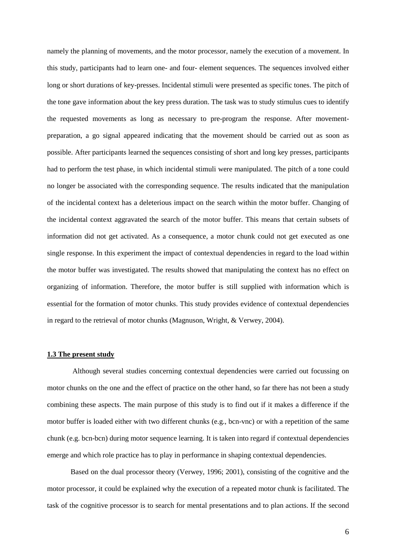namely the planning of movements, and the motor processor, namely the execution of a movement. In this study, participants had to learn one- and four- element sequences. The sequences involved either long or short durations of key-presses. Incidental stimuli were presented as specific tones. The pitch of the tone gave information about the key press duration. The task was to study stimulus cues to identify the requested movements as long as necessary to pre-program the response. After movementpreparation, a go signal appeared indicating that the movement should be carried out as soon as possible. After participants learned the sequences consisting of short and long key presses, participants had to perform the test phase, in which incidental stimuli were manipulated. The pitch of a tone could no longer be associated with the corresponding sequence. The results indicated that the manipulation of the incidental context has a deleterious impact on the search within the motor buffer. Changing of the incidental context aggravated the search of the motor buffer. This means that certain subsets of information did not get activated. As a consequence, a motor chunk could not get executed as one single response. In this experiment the impact of contextual dependencies in regard to the load within the motor buffer was investigated. The results showed that manipulating the context has no effect on organizing of information. Therefore, the motor buffer is still supplied with information which is essential for the formation of motor chunks. This study provides evidence of contextual dependencies in regard to the retrieval of motor chunks (Magnuson, Wright, & Verwey, 2004).

#### **1.3 The present study**

 Although several studies concerning contextual dependencies were carried out focussing on motor chunks on the one and the effect of practice on the other hand, so far there has not been a study combining these aspects. The main purpose of this study is to find out if it makes a difference if the motor buffer is loaded either with two different chunks (e.g., bcn-vnc) or with a repetition of the same chunk (e.g. bcn-bcn) during motor sequence learning. It is taken into regard if contextual dependencies emerge and which role practice has to play in performance in shaping contextual dependencies.

Based on the dual processor theory (Verwey, 1996; 2001), consisting of the cognitive and the motor processor, it could be explained why the execution of a repeated motor chunk is facilitated. The task of the cognitive processor is to search for mental presentations and to plan actions. If the second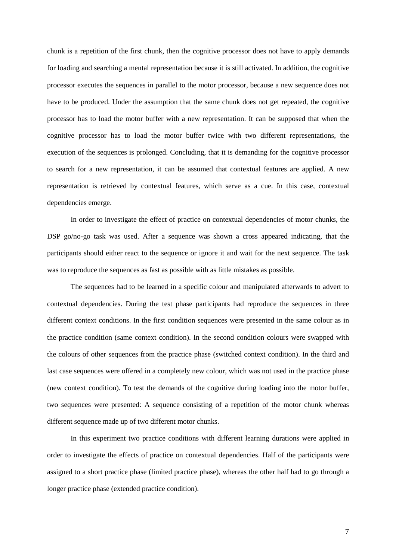chunk is a repetition of the first chunk, then the cognitive processor does not have to apply demands for loading and searching a mental representation because it is still activated. In addition, the cognitive processor executes the sequences in parallel to the motor processor, because a new sequence does not have to be produced. Under the assumption that the same chunk does not get repeated, the cognitive processor has to load the motor buffer with a new representation. It can be supposed that when the cognitive processor has to load the motor buffer twice with two different representations, the execution of the sequences is prolonged. Concluding, that it is demanding for the cognitive processor to search for a new representation, it can be assumed that contextual features are applied. A new representation is retrieved by contextual features, which serve as a cue. In this case, contextual dependencies emerge.

In order to investigate the effect of practice on contextual dependencies of motor chunks, the DSP go/no-go task was used. After a sequence was shown a cross appeared indicating, that the participants should either react to the sequence or ignore it and wait for the next sequence. The task was to reproduce the sequences as fast as possible with as little mistakes as possible.

The sequences had to be learned in a specific colour and manipulated afterwards to advert to contextual dependencies. During the test phase participants had reproduce the sequences in three different context conditions. In the first condition sequences were presented in the same colour as in the practice condition (same context condition). In the second condition colours were swapped with the colours of other sequences from the practice phase (switched context condition). In the third and last case sequences were offered in a completely new colour, which was not used in the practice phase (new context condition). To test the demands of the cognitive during loading into the motor buffer, two sequences were presented: A sequence consisting of a repetition of the motor chunk whereas different sequence made up of two different motor chunks.

In this experiment two practice conditions with different learning durations were applied in order to investigate the effects of practice on contextual dependencies. Half of the participants were assigned to a short practice phase (limited practice phase), whereas the other half had to go through a longer practice phase (extended practice condition).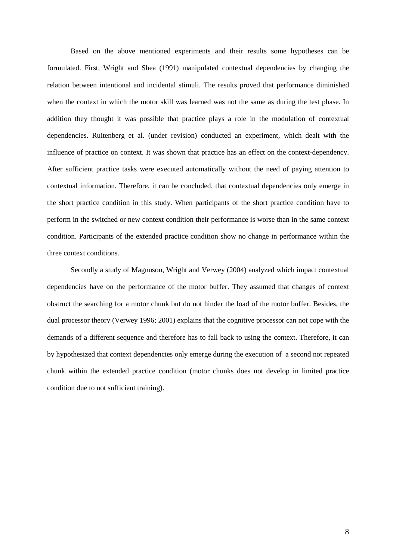Based on the above mentioned experiments and their results some hypotheses can be formulated. First, Wright and Shea (1991) manipulated contextual dependencies by changing the relation between intentional and incidental stimuli. The results proved that performance diminished when the context in which the motor skill was learned was not the same as during the test phase. In addition they thought it was possible that practice plays a role in the modulation of contextual dependencies. Ruitenberg et al. (under revision) conducted an experiment, which dealt with the influence of practice on context. It was shown that practice has an effect on the context-dependency. After sufficient practice tasks were executed automatically without the need of paying attention to contextual information. Therefore, it can be concluded, that contextual dependencies only emerge in the short practice condition in this study. When participants of the short practice condition have to perform in the switched or new context condition their performance is worse than in the same context condition. Participants of the extended practice condition show no change in performance within the three context conditions.

Secondly a study of Magnuson, Wright and Verwey (2004) analyzed which impact contextual dependencies have on the performance of the motor buffer. They assumed that changes of context obstruct the searching for a motor chunk but do not hinder the load of the motor buffer. Besides, the dual processor theory (Verwey 1996; 2001) explains that the cognitive processor can not cope with the demands of a different sequence and therefore has to fall back to using the context. Therefore, it can by hypothesized that context dependencies only emerge during the execution of a second not repeated chunk within the extended practice condition (motor chunks does not develop in limited practice condition due to not sufficient training).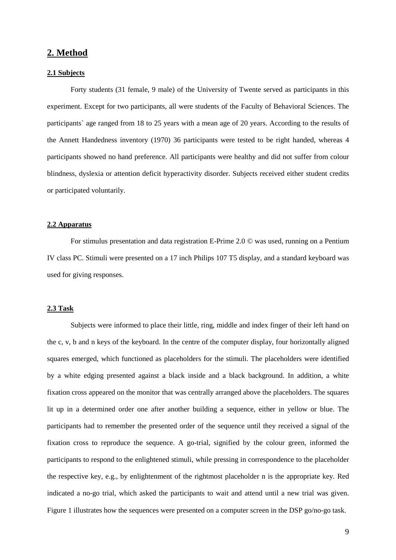### **2. Method**

#### **2.1 Subjects**

Forty students (31 female, 9 male) of the University of Twente served as participants in this experiment. Except for two participants, all were students of the Faculty of Behavioral Sciences. The participants` age ranged from 18 to 25 years with a mean age of 20 years. According to the results of the Annett Handedness inventory (1970) 36 participants were tested to be right handed, whereas 4 participants showed no hand preference. All participants were healthy and did not suffer from colour blindness, dyslexia or attention deficit hyperactivity disorder. Subjects received either student credits or participated voluntarily.

#### **2.2 Apparatus**

For stimulus presentation and data registration E-Prime 2.0 © was used, running on a Pentium IV class PC. Stimuli were presented on a 17 inch Philips 107 T5 display, and a standard keyboard was used for giving responses.

#### **2.3 Task**

Subjects were informed to place their little, ring, middle and index finger of their left hand on the c, v, b and n keys of the keyboard. In the centre of the computer display, four horizontally aligned squares emerged, which functioned as placeholders for the stimuli. The placeholders were identified by a white edging presented against a black inside and a black background. In addition, a white fixation cross appeared on the monitor that was centrally arranged above the placeholders. The squares lit up in a determined order one after another building a sequence, either in yellow or blue. The participants had to remember the presented order of the sequence until they received a signal of the fixation cross to reproduce the sequence. A go-trial, signified by the colour green, informed the participants to respond to the enlightened stimuli, while pressing in correspondence to the placeholder the respective key, e.g., by enlightenment of the rightmost placeholder n is the appropriate key. Red indicated a no-go trial, which asked the participants to wait and attend until a new trial was given. Figure 1 illustrates how the sequences were presented on a computer screen in the DSP go/no-go task.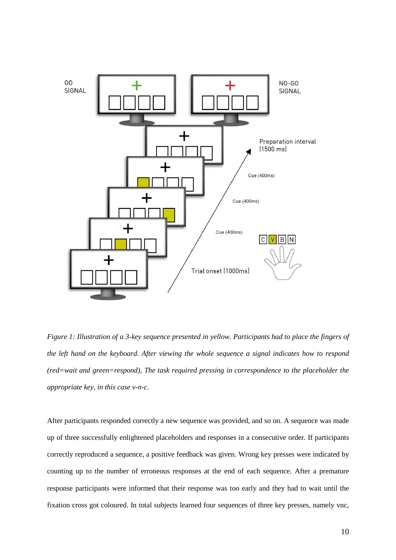

*Figure 1: Illustration of a 3-key sequence presented in yellow. Participants had to place the fingers of the left hand on the keyboard. After viewing the whole sequence a signal indicates how to respond (red=wait and green=respond), The task required pressing in correspondence to the placeholder the appropriate key, in this case v-n-c.* 

After participants responded correctly a new sequence was provided, and so on. A sequence was made up of three successfully enlightened placeholders and responses in a consecutive order. If participants correctly reproduced a sequence, a positive feedback was given. Wrong key presses were indicated by counting up to the number of erroneous responses at the end of each sequence. After a premature response participants were informed that their response was too early and they had to wait until the fixation cross got coloured. In total subjects learned four sequences of three key presses, namely vnc,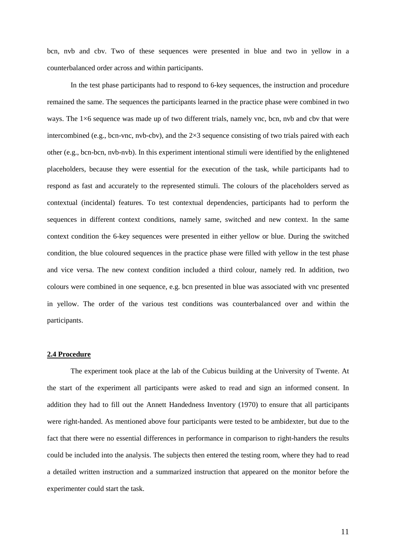bcn, nvb and cbv. Two of these sequences were presented in blue and two in yellow in a counterbalanced order across and within participants.

In the test phase participants had to respond to 6-key sequences, the instruction and procedure remained the same. The sequences the participants learned in the practice phase were combined in two ways. The  $1\times6$  sequence was made up of two different trials, namely vnc, bcn, nvb and cbv that were intercombined (e.g., bcn-vnc, nvb-cbv), and the  $2\times3$  sequence consisting of two trials paired with each other (e.g., bcn-bcn, nvb-nvb). In this experiment intentional stimuli were identified by the enlightened placeholders, because they were essential for the execution of the task, while participants had to respond as fast and accurately to the represented stimuli. The colours of the placeholders served as contextual (incidental) features. To test contextual dependencies, participants had to perform the sequences in different context conditions, namely same, switched and new context. In the same context condition the 6-key sequences were presented in either yellow or blue. During the switched condition, the blue coloured sequences in the practice phase were filled with yellow in the test phase and vice versa. The new context condition included a third colour, namely red. In addition, two colours were combined in one sequence, e.g. bcn presented in blue was associated with vnc presented in yellow. The order of the various test conditions was counterbalanced over and within the participants.

#### **2.4 Procedure**

The experiment took place at the lab of the Cubicus building at the University of Twente. At the start of the experiment all participants were asked to read and sign an informed consent. In addition they had to fill out the Annett Handedness Inventory (1970) to ensure that all participants were right-handed. As mentioned above four participants were tested to be ambidexter, but due to the fact that there were no essential differences in performance in comparison to right-handers the results could be included into the analysis. The subjects then entered the testing room, where they had to read a detailed written instruction and a summarized instruction that appeared on the monitor before the experimenter could start the task.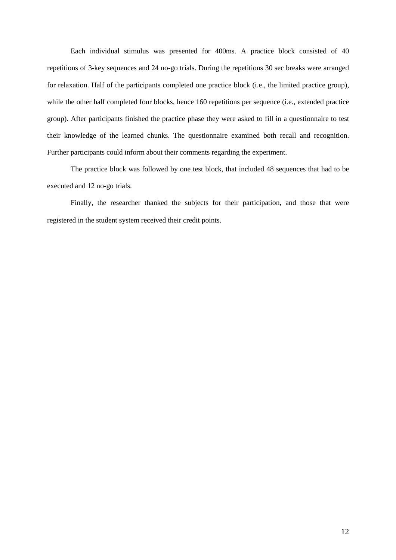Each individual stimulus was presented for 400ms. A practice block consisted of 40 repetitions of 3-key sequences and 24 no-go trials. During the repetitions 30 sec breaks were arranged for relaxation. Half of the participants completed one practice block (i.e., the limited practice group), while the other half completed four blocks, hence 160 repetitions per sequence (i.e., extended practice group). After participants finished the practice phase they were asked to fill in a questionnaire to test their knowledge of the learned chunks. The questionnaire examined both recall and recognition. Further participants could inform about their comments regarding the experiment.

The practice block was followed by one test block, that included 48 sequences that had to be executed and 12 no-go trials.

Finally, the researcher thanked the subjects for their participation, and those that were registered in the student system received their credit points.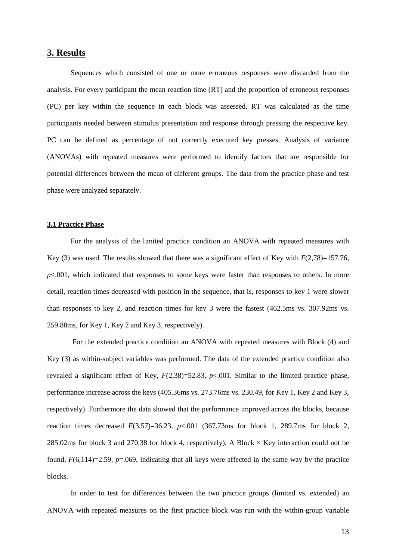## **3. Results**

Sequences which consisted of one or more erroneous responses were discarded from the analysis. For every participant the mean reaction time (RT) and the proportion of erroneous responses (PC) per key within the sequence in each block was assessed. RT was calculated as the time participants needed between stimulus presentation and response through pressing the respective key. PC can be defined as percentage of not correctly executed key presses. Analysis of variance (ANOVAs) with repeated measures were performed to identify factors that are responsible for potential differences between the mean of different groups. The data from the practice phase and test phase were analyzed separately.

#### **3.1 Practice Phase**

For the analysis of the limited practice condition an ANOVA with repeated measures with Key (3) was used. The results showed that there was a significant effect of Key with *F*(2,78)=157.76, *p*<.001, which indicated that responses to some keys were faster than responses to others. In more detail, reaction times decreased with position in the sequence, that is, responses to key 1 were slower than responses to key 2, and reaction times for key 3 were the fastest (462.5ms vs. 307.92ms vs. 259.88ms, for Key 1, Key 2 and Key 3, respectively).

 For the extended practice condition an ANOVA with repeated measures with Block (4) and Key (3) as within-subject variables was performed. The data of the extended practice condition also revealed a significant effect of Key,  $F(2,38)=52.83$ ,  $p<.001$ . Similar to the limited practice phase, performance increase across the keys (405.36ms vs. 273.76ms vs. 230.49, for Key 1, Key 2 and Key 3, respectively). Furthermore the data showed that the performance improved across the blocks, because reaction times decreased  $F(3,57)=36.23$ ,  $p<0.001$  (367.73ms for block 1, 289.7ms for block 2, 285.02ms for block 3 and 270.38 for block 4, respectively). A Block  $\times$  Key interaction could not be found,  $F(6,114)=2.59$ ,  $p=.069$ , indicating that all keys were affected in the same way by the practice blocks.

In order to test for differences between the two practice groups (limited vs. extended) an ANOVA with repeated measures on the first practice block was run with the within-group variable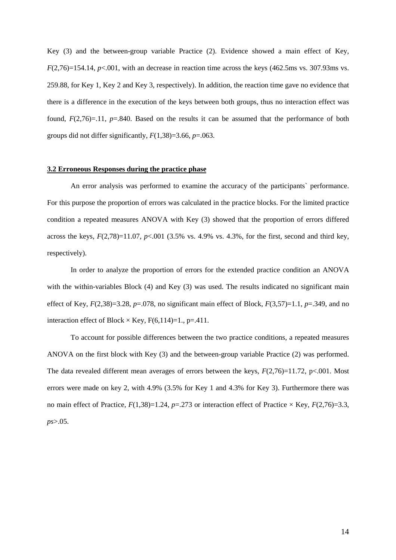Key (3) and the between-group variable Practice (2). Evidence showed a main effect of Key,  $F(2,76)=154.14$ ,  $p<.001$ , with an decrease in reaction time across the keys (462.5ms vs. 307.93ms vs. 259.88, for Key 1, Key 2 and Key 3, respectively). In addition, the reaction time gave no evidence that there is a difference in the execution of the keys between both groups, thus no interaction effect was found,  $F(2,76)=.11$ ,  $p=.840$ . Based on the results it can be assumed that the performance of both groups did not differ significantly, *F*(1,38)=3.66, *p*=.063.

#### **3.2 Erroneous Responses during the practice phase**

An error analysis was performed to examine the accuracy of the participants` performance. For this purpose the proportion of errors was calculated in the practice blocks. For the limited practice condition a repeated measures ANOVA with Key (3) showed that the proportion of errors differed across the keys,  $F(2,78)=11.07$ ,  $p<.001$  (3.5% vs. 4.9% vs. 4.3%, for the first, second and third key, respectively).

In order to analyze the proportion of errors for the extended practice condition an ANOVA with the within-variables Block (4) and Key (3) was used. The results indicated no significant main effect of Key,  $F(2,38)=3.28$ ,  $p=.078$ , no significant main effect of Block,  $F(3,57)=1.1$ ,  $p=.349$ , and no interaction effect of Block  $\times$  Key, F(6,114)=1., p=.411.

To account for possible differences between the two practice conditions, a repeated measures ANOVA on the first block with Key (3) and the between-group variable Practice (2) was performed. The data revealed different mean averages of errors between the keys, *F*(2,76)=11.72, p<.001. Most errors were made on key 2, with 4.9% (3.5% for Key 1 and 4.3% for Key 3). Furthermore there was no main effect of Practice,  $F(1,38)=1.24$ ,  $p=.273$  or interaction effect of Practice × Key,  $F(2,76)=3.3$ , *ps*>.05.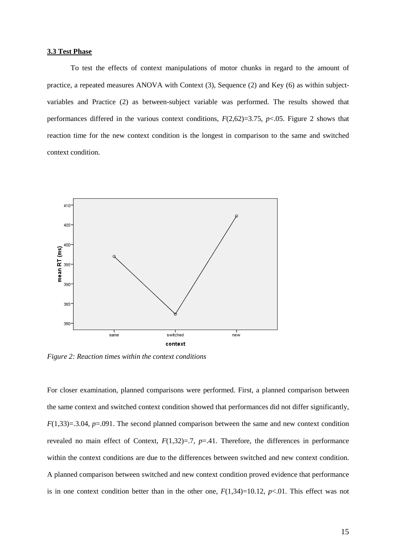#### **3.3 Test Phase**

 To test the effects of context manipulations of motor chunks in regard to the amount of practice, a repeated measures ANOVA with Context (3), Sequence (2) and Key (6) as within subjectvariables and Practice (2) as between-subject variable was performed. The results showed that performances differed in the various context conditions,  $F(2,62)=3.75$ ,  $p<0.05$ . Figure 2 shows that reaction time for the new context condition is the longest in comparison to the same and switched context condition.



*Figure 2: Reaction times within the context conditions* 

For closer examination, planned comparisons were performed. First, a planned comparison between the same context and switched context condition showed that performances did not differ significantly, *F*(1,33)=.3.04, *p*=.091. The second planned comparison between the same and new context condition revealed no main effect of Context,  $F(1,32)=7$ ,  $p=.41$ . Therefore, the differences in performance within the context conditions are due to the differences between switched and new context condition. A planned comparison between switched and new context condition proved evidence that performance is in one context condition better than in the other one,  $F(1,34)=10.12$ ,  $p<0.01$ . This effect was not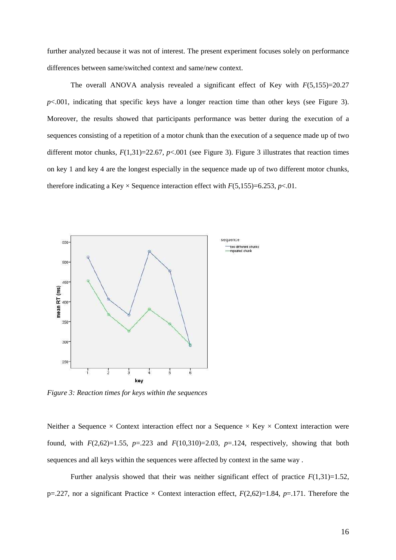further analyzed because it was not of interest. The present experiment focuses solely on performance differences between same/switched context and same/new context.

The overall ANOVA analysis revealed a significant effect of Key with  $F(5.155)=20.27$  $p$ <.001, indicating that specific keys have a longer reaction time than other keys (see Figure 3). Moreover, the results showed that participants performance was better during the execution of a sequences consisting of a repetition of a motor chunk than the execution of a sequence made up of two different motor chunks,  $F(1,31)=22.67$ ,  $p<.001$  (see Figure 3). Figure 3 illustrates that reaction times on key 1 and key 4 are the longest especially in the sequence made up of two different motor chunks, therefore indicating a Key  $\times$  Sequence interaction effect with  $F(5,155)=6.253$ , *p*<.01.



*Figure 3: Reaction times for keys within the sequences* 

Neither a Sequence  $\times$  Context interaction effect nor a Sequence  $\times$  Key  $\times$  Context interaction were found, with  $F(2,62)=1.55$ ,  $p=.223$  and  $F(10,310)=2.03$ ,  $p=.124$ , respectively, showing that both sequences and all keys within the sequences were affected by context in the same way .

Further analysis showed that their was neither significant effect of practice  $F(1,31)=1.52$ , p=.227, nor a significant Practice  $\times$  Context interaction effect,  $F(2,62)=1.84$ ,  $p=.171$ . Therefore the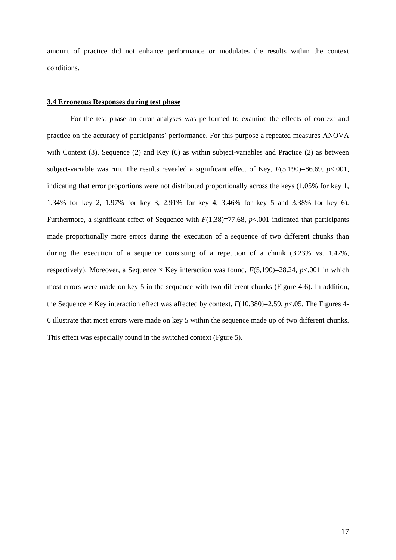amount of practice did not enhance performance or modulates the results within the context conditions.

#### **3.4 Erroneous Responses during test phase**

 For the test phase an error analyses was performed to examine the effects of context and practice on the accuracy of participants` performance. For this purpose a repeated measures ANOVA with Context (3), Sequence (2) and Key (6) as within subject-variables and Practice (2) as between subject-variable was run. The results revealed a significant effect of Key,  $F(5,190)=86.69$ ,  $p<.001$ , indicating that error proportions were not distributed proportionally across the keys (1.05% for key 1, 1.34% for key 2, 1.97% for key 3, 2.91% for key 4, 3.46% for key 5 and 3.38% for key 6). Furthermore, a significant effect of Sequence with *F*(1,38)=77.68, *p*<.001 indicated that participants made proportionally more errors during the execution of a sequence of two different chunks than during the execution of a sequence consisting of a repetition of a chunk (3.23% vs. 1.47%, respectively). Moreover, a Sequence  $\times$  Key interaction was found,  $F(5,190)=28.24$ ,  $p<.001$  in which most errors were made on key 5 in the sequence with two different chunks (Figure 4-6). In addition, the Sequence  $\times$  Key interaction effect was affected by context,  $F(10,380)=2.59$ ,  $p<.05$ . The Figures 4-6 illustrate that most errors were made on key 5 within the sequence made up of two different chunks. This effect was especially found in the switched context (Fgure 5).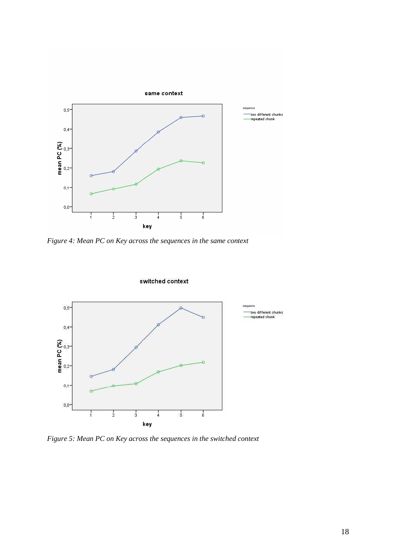

*Figure 4: Mean PC on Key across the sequences in the same context* 



switched context

*Figure 5: Mean PC on Key across the sequences in the switched context*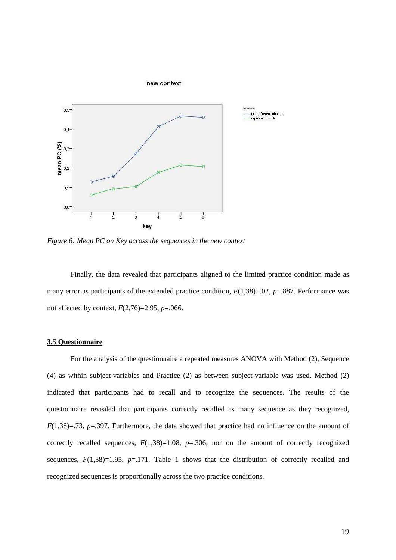

*Figure 6: Mean PC on Key across the sequences in the new context* 

Finally, the data revealed that participants aligned to the limited practice condition made as many error as participants of the extended practice condition,  $F(1,38)=0.02$ ,  $p=.887$ . Performance was not affected by context, *F*(2,76)=2.95, *p*=.066.

#### **3.5 Questionnaire**

 For the analysis of the questionnaire a repeated measures ANOVA with Method (2), Sequence (4) as within subject-variables and Practice (2) as between subject-variable was used. Method (2) indicated that participants had to recall and to recognize the sequences. The results of the questionnaire revealed that participants correctly recalled as many sequence as they recognized, *F*(1,38)=.73, *p*=.397. Furthermore, the data showed that practice had no influence on the amount of correctly recalled sequences,  $F(1,38)=1.08$ ,  $p=.306$ , nor on the amount of correctly recognized sequences,  $F(1,38)=1.95$ ,  $p=.171$ . Table 1 shows that the distribution of correctly recalled and recognized sequences is proportionally across the two practice conditions.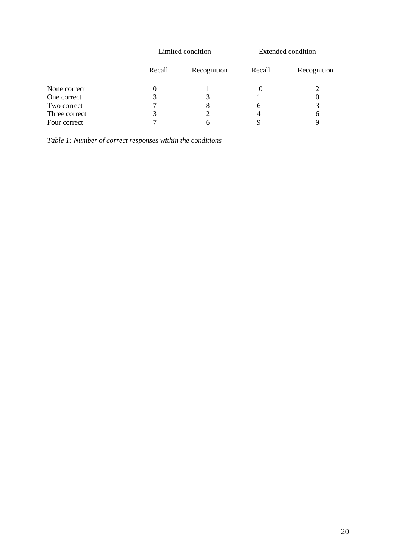|               | Limited condition |             | <b>Extended condition</b> |             |
|---------------|-------------------|-------------|---------------------------|-------------|
|               | Recall            | Recognition | Recall                    | Recognition |
| None correct  |                   |             |                           |             |
| One correct   |                   |             |                           |             |
| Two correct   |                   |             | 6                         |             |
| Three correct |                   |             |                           | h           |
| Four correct  |                   |             |                           |             |

*Table 1: Number of correct responses within the conditions*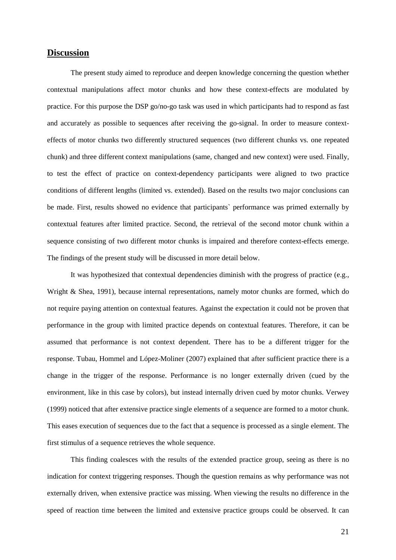### **Discussion**

 The present study aimed to reproduce and deepen knowledge concerning the question whether contextual manipulations affect motor chunks and how these context-effects are modulated by practice. For this purpose the DSP go/no-go task was used in which participants had to respond as fast and accurately as possible to sequences after receiving the go-signal. In order to measure contexteffects of motor chunks two differently structured sequences (two different chunks vs. one repeated chunk) and three different context manipulations (same, changed and new context) were used. Finally, to test the effect of practice on context-dependency participants were aligned to two practice conditions of different lengths (limited vs. extended). Based on the results two major conclusions can be made. First, results showed no evidence that participants` performance was primed externally by contextual features after limited practice. Second, the retrieval of the second motor chunk within a sequence consisting of two different motor chunks is impaired and therefore context-effects emerge. The findings of the present study will be discussed in more detail below.

 It was hypothesized that contextual dependencies diminish with the progress of practice (e.g., Wright & Shea, 1991), because internal representations, namely motor chunks are formed, which do not require paying attention on contextual features. Against the expectation it could not be proven that performance in the group with limited practice depends on contextual features. Therefore, it can be assumed that performance is not context dependent. There has to be a different trigger for the response. Tubau, Hommel and López-Moliner (2007) explained that after sufficient practice there is a change in the trigger of the response. Performance is no longer externally driven (cued by the environment, like in this case by colors), but instead internally driven cued by motor chunks. Verwey (1999) noticed that after extensive practice single elements of a sequence are formed to a motor chunk. This eases execution of sequences due to the fact that a sequence is processed as a single element. The first stimulus of a sequence retrieves the whole sequence.

This finding coalesces with the results of the extended practice group, seeing as there is no indication for context triggering responses. Though the question remains as why performance was not externally driven, when extensive practice was missing. When viewing the results no difference in the speed of reaction time between the limited and extensive practice groups could be observed. It can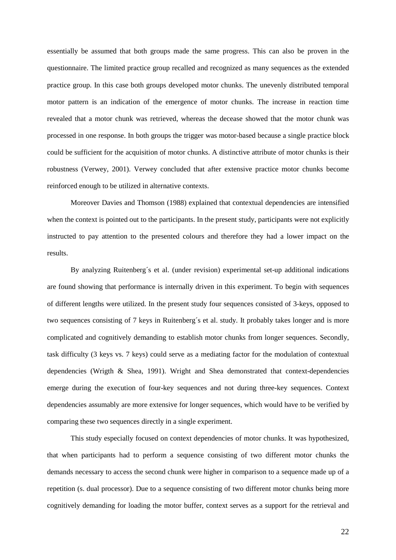essentially be assumed that both groups made the same progress. This can also be proven in the questionnaire. The limited practice group recalled and recognized as many sequences as the extended practice group. In this case both groups developed motor chunks. The unevenly distributed temporal motor pattern is an indication of the emergence of motor chunks. The increase in reaction time revealed that a motor chunk was retrieved, whereas the decease showed that the motor chunk was processed in one response. In both groups the trigger was motor-based because a single practice block could be sufficient for the acquisition of motor chunks. A distinctive attribute of motor chunks is their robustness (Verwey, 2001). Verwey concluded that after extensive practice motor chunks become reinforced enough to be utilized in alternative contexts.

Moreover Davies and Thomson (1988) explained that contextual dependencies are intensified when the context is pointed out to the participants. In the present study, participants were not explicitly instructed to pay attention to the presented colours and therefore they had a lower impact on the results.

 By analyzing Ruitenberg´s et al. (under revision) experimental set-up additional indications are found showing that performance is internally driven in this experiment. To begin with sequences of different lengths were utilized. In the present study four sequences consisted of 3-keys, opposed to two sequences consisting of 7 keys in Ruitenberg´s et al. study. It probably takes longer and is more complicated and cognitively demanding to establish motor chunks from longer sequences. Secondly, task difficulty (3 keys vs. 7 keys) could serve as a mediating factor for the modulation of contextual dependencies (Wrigth & Shea, 1991). Wright and Shea demonstrated that context-dependencies emerge during the execution of four-key sequences and not during three-key sequences. Context dependencies assumably are more extensive for longer sequences, which would have to be verified by comparing these two sequences directly in a single experiment.

 This study especially focused on context dependencies of motor chunks. It was hypothesized, that when participants had to perform a sequence consisting of two different motor chunks the demands necessary to access the second chunk were higher in comparison to a sequence made up of a repetition (s. dual processor). Due to a sequence consisting of two different motor chunks being more cognitively demanding for loading the motor buffer, context serves as a support for the retrieval and

22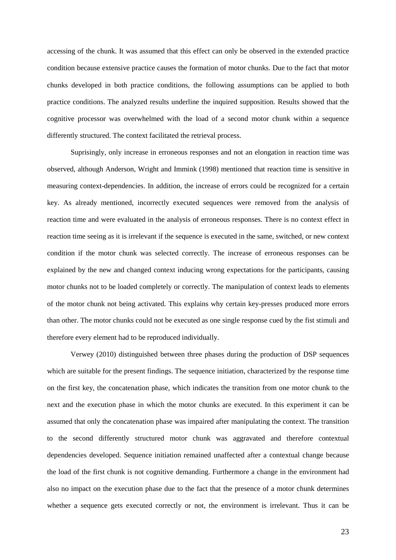accessing of the chunk. It was assumed that this effect can only be observed in the extended practice condition because extensive practice causes the formation of motor chunks. Due to the fact that motor chunks developed in both practice conditions, the following assumptions can be applied to both practice conditions. The analyzed results underline the inquired supposition. Results showed that the cognitive processor was overwhelmed with the load of a second motor chunk within a sequence differently structured. The context facilitated the retrieval process.

Suprisingly, only increase in erroneous responses and not an elongation in reaction time was observed, although Anderson, Wright and Immink (1998) mentioned that reaction time is sensitive in measuring context-dependencies. In addition, the increase of errors could be recognized for a certain key. As already mentioned, incorrectly executed sequences were removed from the analysis of reaction time and were evaluated in the analysis of erroneous responses. There is no context effect in reaction time seeing as it is irrelevant if the sequence is executed in the same, switched, or new context condition if the motor chunk was selected correctly. The increase of erroneous responses can be explained by the new and changed context inducing wrong expectations for the participants, causing motor chunks not to be loaded completely or correctly. The manipulation of context leads to elements of the motor chunk not being activated. This explains why certain key-presses produced more errors than other. The motor chunks could not be executed as one single response cued by the fist stimuli and therefore every element had to be reproduced individually.

Verwey (2010) distinguished between three phases during the production of DSP sequences which are suitable for the present findings. The sequence initiation, characterized by the response time on the first key, the concatenation phase, which indicates the transition from one motor chunk to the next and the execution phase in which the motor chunks are executed. In this experiment it can be assumed that only the concatenation phase was impaired after manipulating the context. The transition to the second differently structured motor chunk was aggravated and therefore contextual dependencies developed. Sequence initiation remained unaffected after a contextual change because the load of the first chunk is not cognitive demanding. Furthermore a change in the environment had also no impact on the execution phase due to the fact that the presence of a motor chunk determines whether a sequence gets executed correctly or not, the environment is irrelevant. Thus it can be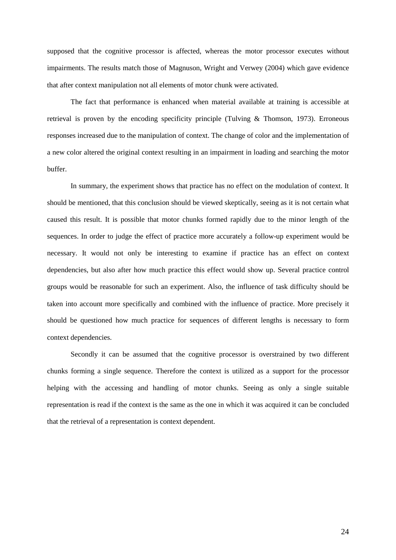supposed that the cognitive processor is affected, whereas the motor processor executes without impairments. The results match those of Magnuson, Wright and Verwey (2004) which gave evidence that after context manipulation not all elements of motor chunk were activated.

The fact that performance is enhanced when material available at training is accessible at retrieval is proven by the encoding specificity principle (Tulving & Thomson, 1973). Erroneous responses increased due to the manipulation of context. The change of color and the implementation of a new color altered the original context resulting in an impairment in loading and searching the motor buffer.

In summary, the experiment shows that practice has no effect on the modulation of context. It should be mentioned, that this conclusion should be viewed skeptically, seeing as it is not certain what caused this result. It is possible that motor chunks formed rapidly due to the minor length of the sequences. In order to judge the effect of practice more accurately a follow-up experiment would be necessary. It would not only be interesting to examine if practice has an effect on context dependencies, but also after how much practice this effect would show up. Several practice control groups would be reasonable for such an experiment. Also, the influence of task difficulty should be taken into account more specifically and combined with the influence of practice. More precisely it should be questioned how much practice for sequences of different lengths is necessary to form context dependencies.

 Secondly it can be assumed that the cognitive processor is overstrained by two different chunks forming a single sequence. Therefore the context is utilized as a support for the processor helping with the accessing and handling of motor chunks. Seeing as only a single suitable representation is read if the context is the same as the one in which it was acquired it can be concluded that the retrieval of a representation is context dependent.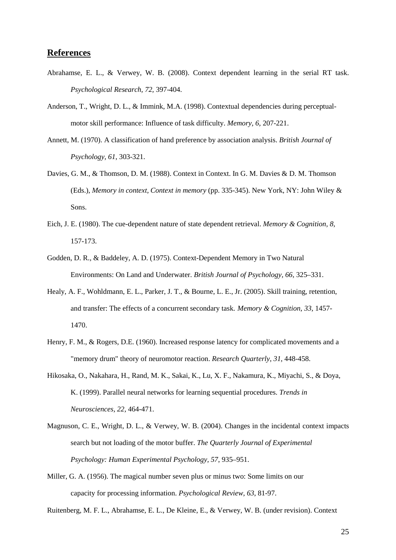# **References**

- Abrahamse, E. L., & Verwey, W. B. (2008). Context dependent learning in the serial RT task. *Psychological Research, 72,* 397-404.
- Anderson, T., Wright, D. L., & Immink, M.A. (1998). Contextual dependencies during perceptualmotor skill performance: Influence of task difficulty. *Memory, 6,* 207-221.
- Annett, M. (1970). A classification of hand preference by association analysis. *British Journal of Psychology, 61*, 303-321.
- Davies, G. M., & Thomson, D. M. (1988). Context in Context. In G. M. Davies & D. M. Thomson (Eds.), *Memory in context, Context in memory* (pp. 335-345). New York, NY: John Wiley & Sons.
- Eich, J. E. (1980). The cue-dependent nature of state dependent retrieval. *Memory & Cognition, 8,* 157-173.
- Godden, D. R., & Baddeley, A. D. (1975). Context-Dependent Memory in Two Natural Environments: On Land and Underwater. *British Journal of Psychology, 66*, 325–331.
- Healy, A. F., Wohldmann, E. L., Parker, J. T., & Bourne, L. E., Jr. (2005). Skill training, retention, and transfer: The effects of a concurrent secondary task. *Memory & Cognition, 33,* 1457- 1470.
- Henry, F. M., & Rogers, D.E. (1960). Increased response latency for complicated movements and a "memory drum" theory of neuromotor reaction. *Research Quarterly*, *31*, 448-458.
- Hikosaka, O., Nakahara, H., Rand, M. K., Sakai, K., Lu, X. F., Nakamura, K., Miyachi, S., & Doya, K. (1999). Parallel neural networks for learning sequential procedures. *Trends in Neurosciences, 22,* 464-471.
- Magnuson, C. E., Wright, D. L., & Verwey, W. B. (2004). Changes in the incidental context impacts search but not loading of the motor buffer. *The Quarterly Journal of Experimental Psychology: Human Experimental Psychology, 57*, 935–951.
- Miller, G. A. (1956). The magical number seven plus or minus two: Some limits on our capacity for processing information. *Psychological Review, 63*, 81-97.

Ruitenberg, M. F. L., Abrahamse, E. L., De Kleine, E., & Verwey, W. B. (under revision). Context